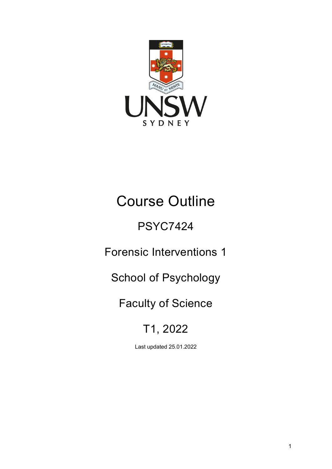

# Course Outline

# PSYC7424

Forensic Interventions 1

School of Psychology

# Faculty of Science

# T1, 2022

Last updated 25.01.2022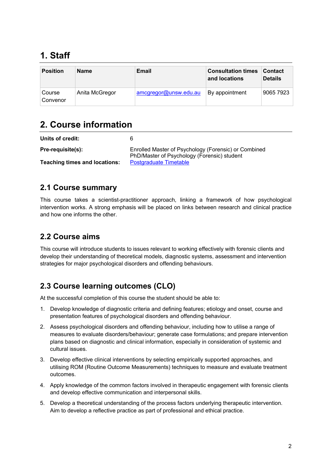# **1. Staff**

| <b>Position</b>    | <b>Name</b>    | Email                 | <b>Consultation times</b><br>and locations | <b>Contact</b><br><b>Details</b> |
|--------------------|----------------|-----------------------|--------------------------------------------|----------------------------------|
| Course<br>Convenor | Anita McGregor | amcgregor@unsw.edu.au | <sup>∣</sup> By appointment                | 9065 7923                        |

## **2. Course information**

| Units of credit:                     | 6                                                                                                   |
|--------------------------------------|-----------------------------------------------------------------------------------------------------|
| Pre-requisite(s):                    | Enrolled Master of Psychology (Forensic) or Combined<br>PhD/Master of Psychology (Forensic) student |
| <b>Teaching times and locations:</b> | Postgraduate Timetable                                                                              |

#### **2.1 Course summary**

This course takes a scientist-practitioner approach, linking a framework of how psychological intervention works. A strong emphasis will be placed on links between research and clinical practice and how one informs the other.

### **2.2 Course aims**

This course will introduce students to issues relevant to working effectively with forensic clients and develop their understanding of theoretical models, diagnostic systems, assessment and intervention strategies for major psychological disorders and offending behaviours.

### **2.3 Course learning outcomes (CLO)**

At the successful completion of this course the student should be able to:

- 1. Develop knowledge of diagnostic criteria and defining features; etiology and onset, course and presentation features of psychological disorders and offending behaviour.
- 2. Assess psychological disorders and offending behaviour, including how to utilise a range of measures to evaluate disorders/behaviour; generate case formulations; and prepare intervention plans based on diagnostic and clinical information, especially in consideration of systemic and cultural issues.
- 3. Develop effective clinical interventions by selecting empirically supported approaches, and utilising ROM (Routine Outcome Measurements) techniques to measure and evaluate treatment outcomes.
- 4. Apply knowledge of the common factors involved in therapeutic engagement with forensic clients and develop effective communication and interpersonal skills.
- 5. Develop a theoretical understanding of the process factors underlying therapeutic intervention. Aim to develop a reflective practice as part of professional and ethical practice.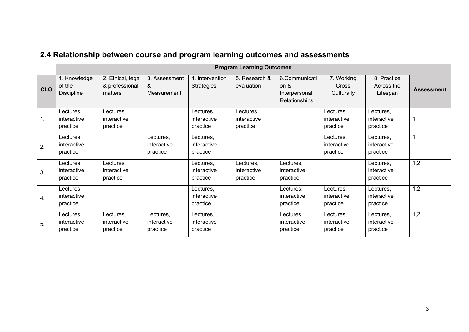| 2.4 Relationship between course and program learning outcomes and assessments |  |  |  |
|-------------------------------------------------------------------------------|--|--|--|
|-------------------------------------------------------------------------------|--|--|--|

|            | <b>Program Learning Outcomes</b>            |                                                |                                      |                                      |                                      |                                                            |                                      |                                       |                   |
|------------|---------------------------------------------|------------------------------------------------|--------------------------------------|--------------------------------------|--------------------------------------|------------------------------------------------------------|--------------------------------------|---------------------------------------|-------------------|
| <b>CLO</b> | 1. Knowledge<br>of the<br><b>Discipline</b> | 2. Ethical, legal<br>& professional<br>matters | 3. Assessment<br>&<br>Measurement    | 4. Intervention<br><b>Strategies</b> | 5. Research &<br>evaluation          | 6.Communicati<br>on $\&$<br>Interpersonal<br>Relationships | 7. Working<br>Cross<br>Culturally    | 8. Practice<br>Across the<br>Lifespan | <b>Assessment</b> |
| 1.         | Lectures,<br>interactive<br>practice        | Lectures,<br>interactive<br>practice           |                                      | Lectures,<br>interactive<br>practice | Lectures,<br>interactive<br>practice |                                                            | Lectures,<br>interactive<br>practice | Lectures,<br>interactive<br>practice  |                   |
| 2.         | Lectures,<br>interactive<br>practice        |                                                | Lectures,<br>interactive<br>practice | Lectures,<br>interactive<br>practice |                                      |                                                            | Lectures,<br>interactive<br>practice | Lectures,<br>interactive<br>practice  |                   |
| 3.         | Lectures,<br>interactive<br>practice        | Lectures,<br>interactive<br>practice           |                                      | Lectures,<br>interactive<br>practice | Lectures,<br>interactive<br>practice | Lectures,<br>interactive<br>practice                       |                                      | Lectures,<br>interactive<br>practice  | 1,2               |
| 4.         | Lectures,<br>interactive<br>practice        |                                                |                                      | Lectures,<br>interactive<br>practice |                                      | Lectures,<br>interactive<br>practice                       | Lectures,<br>interactive<br>practice | Lectures,<br>interactive<br>practice  | 1,2               |
| 5.         | Lectures,<br>interactive<br>practice        | Lectures,<br>interactive<br>practice           | Lectures,<br>interactive<br>practice | Lectures,<br>interactive<br>practice |                                      | Lectures,<br>interactive<br>practice                       | Lectures,<br>interactive<br>practice | Lectures,<br>interactive<br>practice  | 1,2               |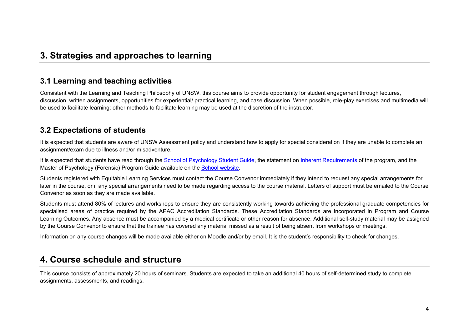### **3. Strategies and approaches to learning**

#### **3.1 Learning and teaching activities**

Consistent with the Learning and Teaching Philosophy of UNSW, this course aims to provide opportunity for student engagement through lectures, discussion, written assignments, opportunities for experiential/ practical learning, and case discussion. When possible, role-play exercises and multimedia will be used to facilitate learning; other methods to facilitate learning may be used at the discretion of the instructor.

#### **3.2 Expectations of students**

It is expected that students are aware of UNSW Assessment policy and understand how to apply for special consideration if they are unable to complete an assignment/exam due to illness and/or misadventure.

It is expected that students have read through the [School of Psychology Student Guide,](https://www.psy.unsw.edu.au/current-students/student-guide) the statement on [Inherent Requirements](https://www.psy.unsw.edu.au/current-students/postgraduate-coursework/master-psychology-forensic) of the program, and the Master of Psychology (Forensic) Program Guide available on the [School website.](https://www.psy.unsw.edu.au/current-students/postgraduate-coursework/master-psychology-forensic)

Students registered with Equitable Learning Services must contact the Course Convenor immediately if they intend to request any special arrangements for later in the course, or if any special arrangements need to be made regarding access to the course material. Letters of support must be emailed to the Course Convenor as soon as they are made available.

Students must attend 80% of lectures and workshops to ensure they are consistently working towards achieving the professional graduate competencies for specialised areas of practice required by the APAC Accreditation Standards. These Accreditation Standards are incorporated in Program and Course Learning Outcomes. Any absence must be accompanied by a medical certificate or other reason for absence. Additional self-study material may be assigned by the Course Convenor to ensure that the trainee has covered any material missed as a result of being absent from workshops or meetings.

Information on any course changes will be made available either on Moodle and/or by email. It is the student's responsibility to check for changes.

#### **4. Course schedule and structure**

This course consists of approximately 20 hours of seminars. Students are expected to take an additional 40 hours of self-determined study to complete assignments, assessments, and readings.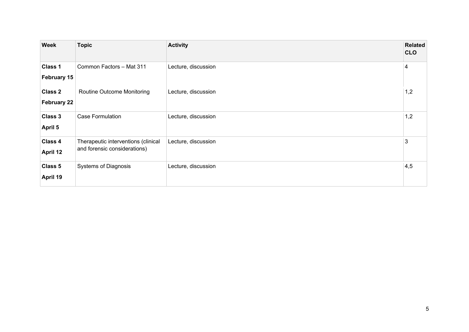| <b>Week</b>                   | <b>Topic</b>                                                        | <b>Activity</b>     | Related<br><b>CLO</b> |
|-------------------------------|---------------------------------------------------------------------|---------------------|-----------------------|
| Class 1<br>February 15        | Common Factors - Mat 311                                            | Lecture, discussion | 4                     |
| <b>Class 2</b><br>February 22 | Routine Outcome Monitoring                                          | Lecture, discussion | 1,2                   |
| Class 3<br><b>April 5</b>     | <b>Case Formulation</b>                                             | Lecture, discussion | 1,2                   |
| Class 4<br>April 12           | Therapeutic interventions (clinical<br>and forensic considerations) | Lecture, discussion | 3                     |
| Class 5<br>April 19           | <b>Systems of Diagnosis</b>                                         | Lecture, discussion | 4,5                   |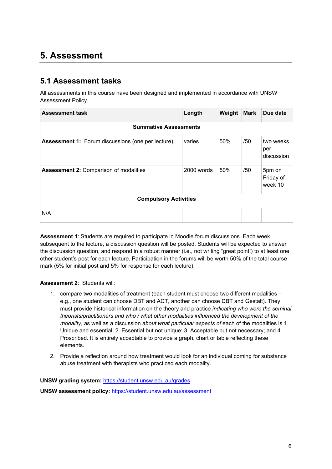## **5. Assessment**

#### **5.1 Assessment tasks**

All assessments in this course have been designed and implemented in accordance with UNSW Assessment Policy.

| <b>Assessment task</b>                                   | Length     | Weight | <b>Mark</b> | Due date                       |  |  |
|----------------------------------------------------------|------------|--------|-------------|--------------------------------|--|--|
| <b>Summative Assessments</b>                             |            |        |             |                                |  |  |
| <b>Assessment 1:</b> Forum discussions (one per lecture) | varies     | 50%    | /50         | two weeks<br>per<br>discussion |  |  |
| <b>Assessment 2: Comparison of modalities</b>            | 2000 words | 50%    | /50         | 5pm on<br>Friday of<br>week 10 |  |  |
| <b>Compulsory Activities</b>                             |            |        |             |                                |  |  |
| N/A                                                      |            |        |             |                                |  |  |

**Assessment 1**: Students are required to participate in Moodle forum discussions. Each week subsequent to the lecture, a discussion question will be posted. Students will be expected to answer the discussion question, and respond in a robust manner (i.e., not writing "great point!) to at least one other student's post for each lecture. Participation in the forums will be worth 50% of the total course mark (5% for initial post and 5% for response for each lecture).

#### **Assessment 2**: Students will:

- 1. compare two modalities of treatment (each student must choose two different modalities e.g., one student can choose DBT and ACT, another can choose DBT and Gestalt). They must provide historical information on the theory and practice *indicating who were the seminal theorists/practitioners and who / what other modalities influenced the development of the modality*, as well as a discussion *about what particular aspects of* each of the modalities is 1. Unique and essential; 2. Essential but not unique; 3. Acceptable but not necessary; and 4. Proscribed. It is entirely acceptable to provide a graph, chart or table reflecting these elements.
- 2. Provide a reflection around how treatment would look for an individual coming for substance abuse treatment with therapists who practiced each modality.

**UNSW grading system:** <https://student.unsw.edu.au/grades>

**UNSW assessment policy:** <https://student.unsw.edu.au/assessment>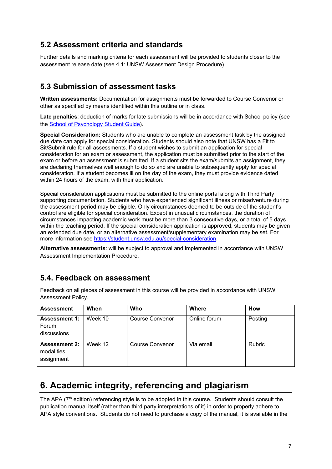#### **5.2 Assessment criteria and standards**

Further details and marking criteria for each assessment will be provided to students closer to the assessment release date (see 4.1: UNSW Assessment Design Procedure).

#### **5.3 Submission of assessment tasks**

**Written assessments:** Documentation for assignments must be forwarded to Course Convenor or other as specified by means identified within this outline or in class.

**Late penalties**: deduction of marks for late submissions will be in accordance with School policy (see the [School of Psychology Student Guide\)](https://www.psy.unsw.edu.au/current-students/student-guide).

**Special Consideration:** Students who are unable to complete an assessment task by the assigned due date can apply for special consideration. Students should also note that UNSW has a Fit to Sit/Submit rule for all assessments. If a student wishes to submit an application for special consideration for an exam or assessment, the application must be submitted prior to the start of the exam or before an assessment is submitted. If a student sits the exam/submits an assignment, they are declaring themselves well enough to do so and are unable to subsequently apply for special consideration. If a student becomes ill on the day of the exam, they must provide evidence dated within 24 hours of the exam, with their application.

Special consideration applications must be submitted to the online portal along with Third Party supporting documentation. Students who have experienced significant illness or misadventure during the assessment period may be eligible. Only circumstances deemed to be outside of the student's control are eligible for special consideration. Except in unusual circumstances, the duration of circumstances impacting academic work must be more than 3 consecutive days, or a total of 5 days within the teaching period. If the special consideration application is approved, students may be given an extended due date, or an alternative assessment/supplementary examination may be set. For more information se[e https://student.unsw.edu.au/special-consideration.](https://student.unsw.edu.au/special-consideration)

**Alternative assessments**: will be subject to approval and implemented in accordance with UNSW Assessment Implementation Procedure.

#### **5.4. Feedback on assessment**

Feedback on all pieces of assessment in this course will be provided in accordance with UNSW Assessment Policy.

| <b>Assessment</b>                                | When    | Who                    | <b>Where</b> | How           |
|--------------------------------------------------|---------|------------------------|--------------|---------------|
| <b>Assessment 1:</b><br>Forum<br>discussions     | Week 10 | <b>Course Convenor</b> | Online forum | Posting       |
| <b>Assessment 2:</b><br>modalities<br>assignment | Week 12 | Course Convenor        | Via email    | <b>Rubric</b> |

## **6. Academic integrity, referencing and plagiarism**

The APA (7<sup>th</sup> edition) referencing style is to be adopted in this course. Students should consult the publication manual itself (rather than third party interpretations of it) in order to properly adhere to APA style conventions. Students do not need to purchase a copy of the manual, it is available in the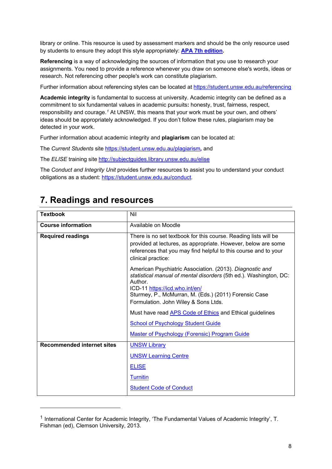library or online. This resource is used by assessment markers and should be the only resource used by students to ensure they adopt this style appropriately: **[APA 7th edition.](http://www.apastyle.org/manual/index.aspx)**

**Referencing** is a way of acknowledging the sources of information that you use to research your assignments. You need to provide a reference whenever you draw on someone else's words, ideas or research. Not referencing other people's work can constitute plagiarism.

Further information about referencing styles can be located at<https://student.unsw.edu.au/referencing>

**Academic integrity** is fundamental to success at university. Academic integrity can be defined as a commitment to six fundamental values in academic pursuits**:** honesty, trust, fairness, respect, responsibility and courage.*[1](#page-7-0)* At UNSW, this means that your work must be your own, and others' ideas should be appropriately acknowledged. If you don't follow these rules, plagiarism may be detected in your work.

Further information about academic integrity and **plagiarism** can be located at:

The *Current Students* site <https://student.unsw.edu.au/plagiarism>*,* and

The *ELISE* training site <http://subjectguides.library.unsw.edu.au/elise>

The *Conduct and Integrity Unit* provides further resources to assist you to understand your conduct obligations as a student: [https://student.unsw.edu.au/conduct.](https://student.unsw.edu.au/conduct)

### **7. Readings and resources**

-

| <b>Textbook</b>                   | Nil                                                                                                                                                                                                                                                                         |
|-----------------------------------|-----------------------------------------------------------------------------------------------------------------------------------------------------------------------------------------------------------------------------------------------------------------------------|
| <b>Course information</b>         | Available on Moodle                                                                                                                                                                                                                                                         |
| <b>Required readings</b>          | There is no set textbook for this course. Reading lists will be<br>provided at lectures, as appropriate. However, below are some<br>references that you may find helpful to this course and to your<br>clinical practice:                                                   |
|                                   | American Psychiatric Association. (2013). Diagnostic and<br>statistical manual of mental disorders (5th ed.). Washington, DC:<br>Author.<br>ICD-11 https://icd.who.int/en/<br>Sturmey, P., McMurran, M. (Eds.) (2011) Forensic Case<br>Formulation. John Wiley & Sons Ltds. |
|                                   | Must have read <b>APS Code of Ethics</b> and Ethical guidelines                                                                                                                                                                                                             |
|                                   | <b>School of Psychology Student Guide</b>                                                                                                                                                                                                                                   |
|                                   | <b>Master of Psychology (Forensic) Program Guide</b>                                                                                                                                                                                                                        |
| <b>Recommended internet sites</b> | <b>UNSW Library</b><br><b>UNSW Learning Centre</b><br><b>ELISE</b><br><b>Turnitin</b><br><b>Student Code of Conduct</b>                                                                                                                                                     |

<span id="page-7-0"></span> $1$  International Center for Academic Integrity, 'The Fundamental Values of Academic Integrity', T. Fishman (ed), Clemson University, 2013.